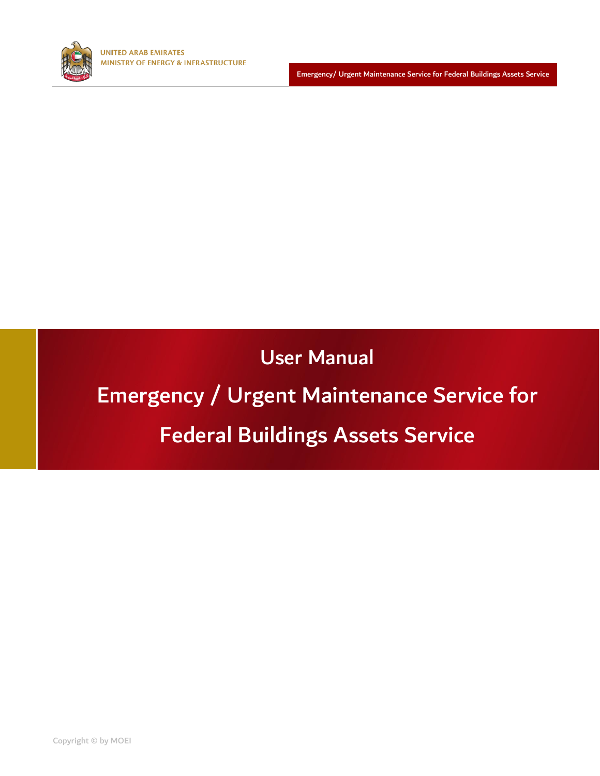

Emergency/ Urgent Maintenance Service for Federal Buildings Assets Service

User Manual

## Emergency / Urgent Maintenance Service for

## Federal Buildings Assets Service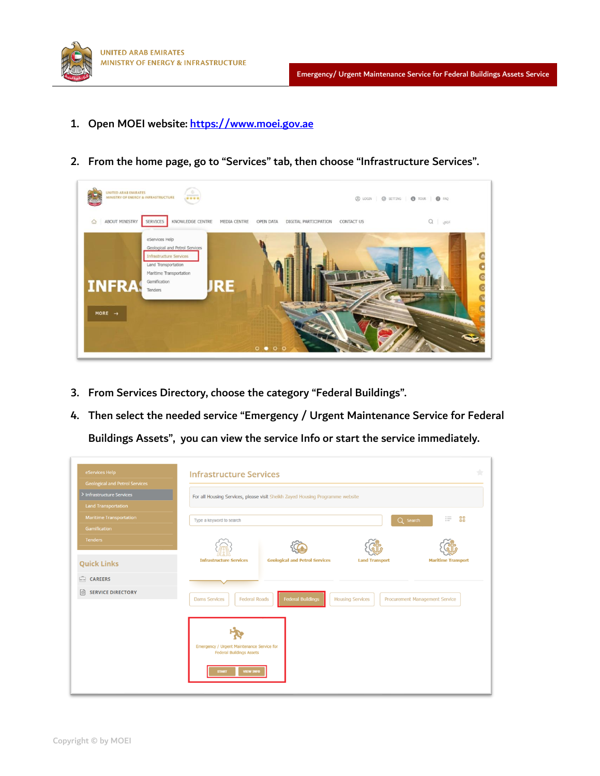

1. Open MOEI website: [https://www.moei.gov.ae](https://www.moei.gov.ae/)



2. From the home page, go to "Services" tab, then choose "Infrastructure Services".

- 3. From Services Directory, choose the category "Federal Buildings".
- 4. Then select the needed service "Emergency / Urgent Maintenance Service for Federal

Buildings Assets", you can view the service Info or start the service immediately.

| eServices Help                                                     | <b>Infrastructure Services</b>                                                                                                               |    |
|--------------------------------------------------------------------|----------------------------------------------------------------------------------------------------------------------------------------------|----|
| <b>Geological and Petrol Services</b><br>> Infrastructure Services | For all Housing Services, please visit Sheikh Zayed Housing Programme website                                                                |    |
| <b>Land Transportation</b>                                         |                                                                                                                                              |    |
| <b>Maritime Transportation</b>                                     | $:=$<br>Q Search<br>Type a keyword to search                                                                                                 | 88 |
| <b>Gamification</b>                                                |                                                                                                                                              |    |
| <b>Tenders</b>                                                     |                                                                                                                                              |    |
| <b>Quick Links</b>                                                 | <b>Geological and Petrol Services</b><br><b>Infrastructure Services</b><br><b>Land Transport</b><br><b>Maritime Transport</b>                |    |
| CAREERS                                                            |                                                                                                                                              |    |
| <b>SERVICE DIRECTORY</b>                                           | <b>Federal Buildings</b><br><b>Federal Roads</b><br><b>Dams Services</b><br><b>Housing Services</b><br><b>Procurement Management Service</b> |    |
|                                                                    |                                                                                                                                              |    |
|                                                                    | Emergency / Urgent Maintenance Service for<br><b>Federal Buildings Assets</b>                                                                |    |
|                                                                    | <b>START</b><br><b>VIEW INFO</b>                                                                                                             |    |
|                                                                    |                                                                                                                                              |    |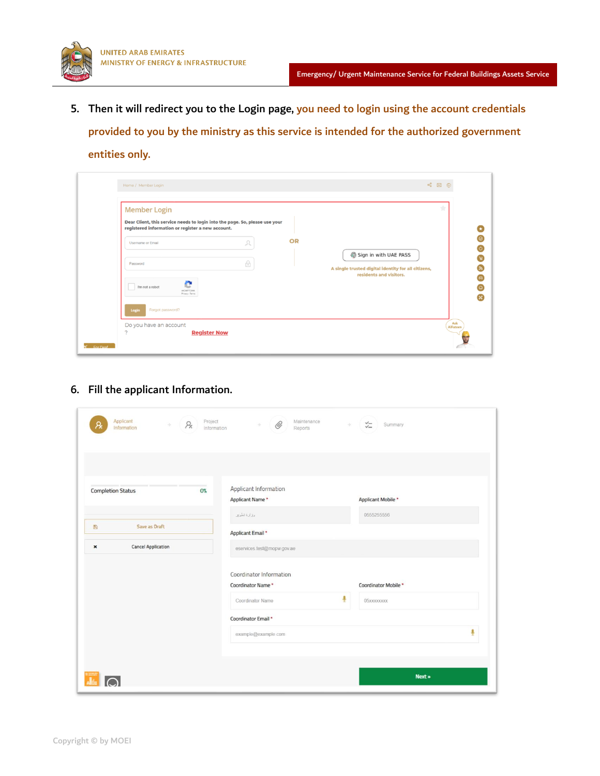

5. Then it will redirect you to the Login page, you need to login using the account credentials provided to you by the ministry as this service is intended for the authorized government entities only.

| <b>Member Login</b>                                                                                                              |                              |    | ٠                                                                              |
|----------------------------------------------------------------------------------------------------------------------------------|------------------------------|----|--------------------------------------------------------------------------------|
| Dear Client, this service needs to login into the page. So, please use your<br>registered information or register a new account. |                              |    |                                                                                |
| Username or Email                                                                                                                | Ω                            | OR |                                                                                |
| Password                                                                                                                         |                              |    | Sign in with UAE PASS                                                          |
|                                                                                                                                  | $\frac{\bigcap}{\mathbb{F}}$ |    | A single trusted digital identity for all citizens,<br>residents and visitors. |
| e<br>I'm not a robot<br><b>IRCAPTCHA</b><br>Privacy - Terms                                                                      |                              |    |                                                                                |
| Forgot password?                                                                                                                 |                              |    |                                                                                |
| Login<br>Do you have an account                                                                                                  |                              |    |                                                                                |

6. Fill the applicant Information.

| <b>Completion Status</b><br>Save as Draft<br>目<br><b>Cancel Application</b><br>$\pmb{\times}$ | .,<br>0% | Applicant Information<br>Applicant Name*<br>وذارة تلويز<br>Applicant Email *<br>eservices.test@mopw.gov.ae | Applicant Mobile*<br>0555255556         |   |
|-----------------------------------------------------------------------------------------------|----------|------------------------------------------------------------------------------------------------------------|-----------------------------------------|---|
|                                                                                               |          |                                                                                                            |                                         |   |
|                                                                                               |          |                                                                                                            |                                         |   |
|                                                                                               |          | Coordinator Information                                                                                    |                                         |   |
|                                                                                               |          | Coordinator Name*<br>Coordinator Name                                                                      | Coordinator Mobile*<br>Ļ<br>05xxxxxxxxx |   |
|                                                                                               |          | Coordinator Email *<br>example@example.com                                                                 |                                         | Ą |
|                                                                                               |          |                                                                                                            | Next »                                  |   |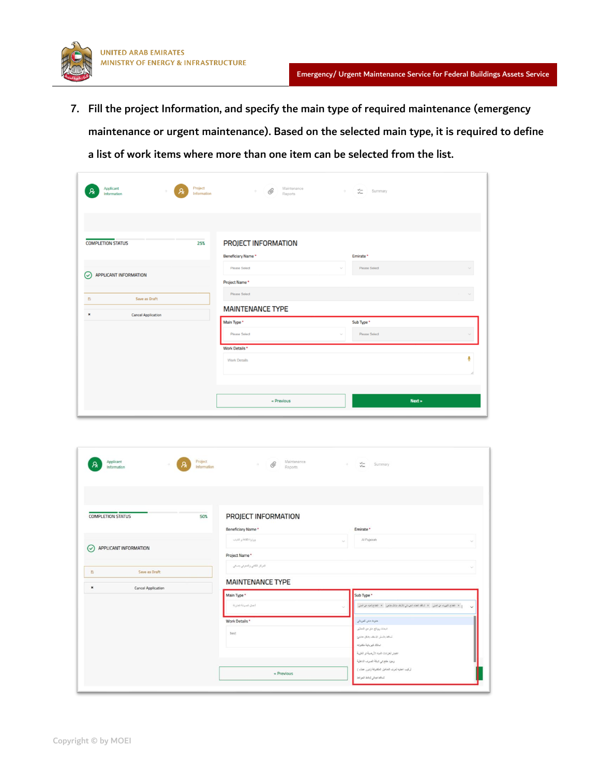

7. Fill the project Information, and specify the main type of required maintenance (emergency maintenance or urgent maintenance). Based on the selected main type, it is required to define a list of work items where more than one item can be selected from the list.

| Applicant<br>Information                    | Project<br>Ą.<br>Information | Maintenance<br>O<br>Reports | $\omega_{\rm{B}}$ | $\frac{1}{\sqrt{2}}$ Summary |  |
|---------------------------------------------|------------------------------|-----------------------------|-------------------|------------------------------|--|
| <b>COMPLETION STATUS</b>                    | 25%                          | PROJECT INFORMATION         |                   |                              |  |
|                                             |                              | Beneficiary Name*           |                   | Emirate*                     |  |
| <b>APPLICANT INFORMATION</b><br>$\odot$     |                              | <b>Please Select</b>        | $\sim$            | <b>Please Select</b>         |  |
|                                             |                              | Project Name*               |                   |                              |  |
| Save as Draft<br>Đ                          |                              | Please Select               |                   |                              |  |
| $\pmb{\times}$<br><b>Cancel Application</b> |                              | <b>MAINTENANCE TYPE</b>     |                   |                              |  |
|                                             |                              | Main Type*                  |                   | Sub Type *                   |  |
|                                             |                              | Please Select               |                   | <b>Please Select</b>         |  |
|                                             |                              | Work Details *              |                   |                              |  |
|                                             |                              | <b>Work Details</b>         |                   | ٠                            |  |
|                                             |                              |                             |                   |                              |  |
|                                             |                              |                             |                   |                              |  |
|                                             |                              | « Previous                  |                   | Next »                       |  |

| Applicant<br>Information                    | Project<br>Information | Maintenance<br>$\mathscr{Q}$<br>×.<br>Reports |        | $\frac{v}{v}$ Summary                                                                         |
|---------------------------------------------|------------------------|-----------------------------------------------|--------|-----------------------------------------------------------------------------------------------|
| <b>COMPLETION STATUS</b>                    | 50%                    | PROJECT INFORMATION                           |        |                                                                                               |
|                                             | Beneficiary Name*      |                                               |        | Emirate *                                                                                     |
|                                             | وزارة القافة والقباب   |                                               | $\sim$ | Al Fujairah                                                                                   |
| APPLICANT INFORMATION<br>$(\checkmark)$     | Project Name*          |                                               |        |                                                                                               |
|                                             |                        | الدركز اللقابي والدهرقي بتسقي                 |        |                                                                                               |
| Save as Draft<br>$\mathfrak{S}$             |                        |                                               |        |                                                                                               |
| $\pmb{\times}$<br><b>Cancel Application</b> |                        | <b>MAINTENANCE TYPE</b>                       |        |                                                                                               |
|                                             | Main Type *            |                                               |        | Sub Type *                                                                                    |
|                                             | أعدل الصيئة الفترنة    |                                               |        | x الفتح فيريد من قبل - x النظم فقد فيرسلي للأنف بكل معنى - x الفتح قيد من قبل<br>$\checkmark$ |
|                                             | Work Details *         |                                               |        | حرث منن كبريشي                                                                                |
|                                             | test                   |                                               |        | البعاث روائع عاز من المعتبر                                                                   |
|                                             |                        |                                               |        | تسالف شنثن الإسقف بشكل مفاجئ                                                                  |
|                                             |                        |                                               |        | انتقائي باية نكرته                                                                            |
|                                             |                        |                                               |        | القمار تعزعت شيه الأرضية او الطرية<br>رجرد طلح في شبكة الصرت الناطية                          |
|                                             |                        |                                               |        | ترکیب اعلیه ثعرف المنافیل المکترفة (بنون عقاد )                                               |
|                                             |                        |                                               |        |                                                                                               |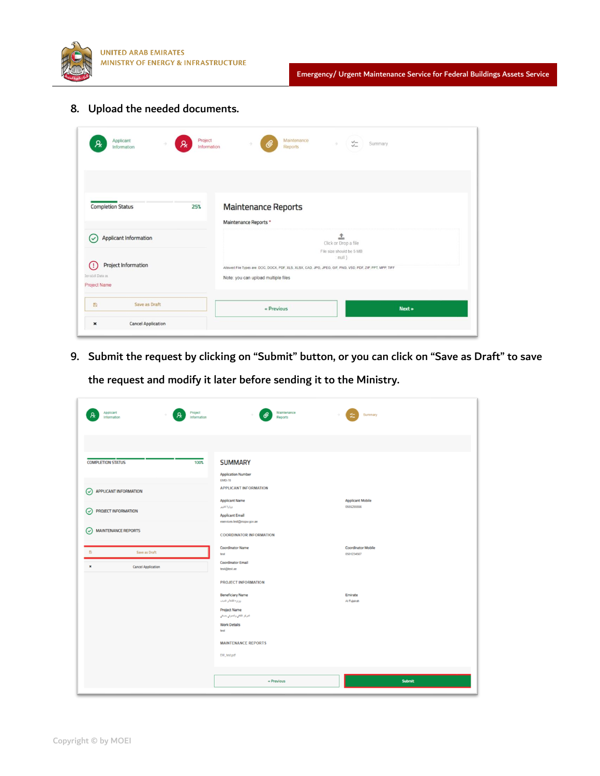

8. Upload the needed documents.

| Applicant<br>R.<br>Information                                                            | Project<br>R,<br>Information |                                                                                                                                                   | Maintenance<br><b>Reports</b> | $\frac{\sqrt{2}}{2}$                                            | Summary |
|-------------------------------------------------------------------------------------------|------------------------------|---------------------------------------------------------------------------------------------------------------------------------------------------|-------------------------------|-----------------------------------------------------------------|---------|
| <b>Completion Status</b>                                                                  | 25%                          | <b>Maintenance Reports</b><br>Maintenance Reports *                                                                                               |                               |                                                                 |         |
| Applicant Information<br>✓<br>Project Information<br>Œ<br>Invalid Data in<br>Project Name |                              | Allowed File Types are: DOC, DOCX, PDF, XLS, XLSX, CAD, JPG, JPEG, GIF, PNG, VSD, PDF, ZIP, PPT, MPP, TIFF<br>Note: you can upload multiple files |                               | 土<br>Click or Drop a file<br>File size should be 5 MB<br>null } |         |
| Save as Draft<br>图<br><b>Cancel Application</b><br>$\pmb{\times}$                         |                              | « Previous                                                                                                                                        |                               |                                                                 | Next »  |

9. Submit the request by clicking on "Submit" button, or you can click on "Save as Draft" to save the request and modify it later before sending it to the Ministry.

| Applicant<br>Project<br>Information<br>Information | Maintenance<br>Reports                               | Summary                                 |
|----------------------------------------------------|------------------------------------------------------|-----------------------------------------|
|                                                    |                                                      |                                         |
| <b>COMPLETION STATUS</b><br>100%                   | <b>SUMMARY</b>                                       |                                         |
|                                                    | <b>Application Number</b><br><b>EMD-78</b>           |                                         |
| APPLICANT INFORMATION<br>⊙                         | <b>APPLICANT INFORMATION</b>                         |                                         |
|                                                    | <b>Applicant Name</b><br>وزارة تغوير                 | <b>Applicant Mobile</b><br>0555255556   |
| PROJECT INFORMATION<br>$\odot$                     | <b>Applicant Email</b><br>eservices.test@mopv.gov.ae |                                         |
| <b>MAINTENANCE REPORTS</b><br>$(\checkmark)$       | <b>COORDINATOR INFORMATION</b>                       |                                         |
| $\mathcal{D}$<br>Save as Draft                     | <b>Coordinator Name</b><br>test                      | <b>Coordinator Mobile</b><br>0501234567 |
| ×<br><b>Cancel Application</b>                     | <b>Coordinator Email</b><br>test@test.ae             |                                         |
|                                                    | <b>PROJECT INFORMATION</b>                           |                                         |
|                                                    | <b>Beneficiary Name</b><br>وزارة الثقة والتباب       | Emirate<br>Al Fujairah                  |
|                                                    | <b>Project Name</b><br>شركز اثقفي والمعرفي بمسقي     |                                         |
|                                                    | <b>Work Details</b>                                  |                                         |
|                                                    | test                                                 |                                         |
|                                                    | <b>MAINTENANCE REPORTS</b><br>EM_test.pdf            |                                         |
|                                                    |                                                      |                                         |
|                                                    | $\le$ Previous                                       | Submit                                  |
|                                                    |                                                      |                                         |